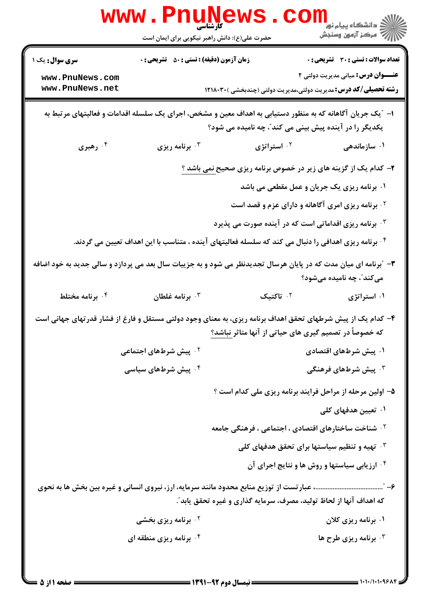|                                                                                                                                                                      | <b>WWW . PNUNE</b><br>کارشناسی<br>حضرت علی(ع): دانش راهبر نیکویی برای ایمان است                             |                                                                        | ڪ دانشڪاه پيام نور<br>ا∛ مرڪز آزمون وسنڊش |
|----------------------------------------------------------------------------------------------------------------------------------------------------------------------|-------------------------------------------------------------------------------------------------------------|------------------------------------------------------------------------|-------------------------------------------|
| <b>سری سوال :</b> یک ۱                                                                                                                                               | <b>زمان آزمون (دقیقه) : تستی : 50 ٪ تشریحی : 0</b>                                                          |                                                                        | تعداد سوالات : تستى : 30 ٪ تشريحي : 0     |
| www.PnuNews.com                                                                                                                                                      |                                                                                                             |                                                                        | <b>عنـــوان درس:</b> مبانی مدیریت دولتی ۲ |
| www.PnuNews.net                                                                                                                                                      |                                                                                                             | <b>رشته تحصیلی/کد درس:</b> مدیریت دولتی،مدیریت دولتی (چندبخشی )۲۱۸۰۳۰  |                                           |
| ا– "یک جریان آگاهانه که به منظور دستیابی به اهداف معین و مشخص، اجرای یک سلسله اقدامات و فعالیتهای مرتبط به<br>یکدیگر را در آینده پیش بینی می کند"، چه نامیده می شود؟ |                                                                                                             |                                                                        |                                           |
| ۰۴ رهبری                                                                                                                                                             | برنامه ریزی $\cdot^{\mathtt{w}}$                                                                            | ۰ <sup>۲</sup> استراتژی                                                | ۰۱ سازماندهی                              |
|                                                                                                                                                                      |                                                                                                             | ۲- کدام یک از گزینه های زیر در خصوص برنامه ریزی صحیح <u>نمی باشد ؟</u> |                                           |
|                                                                                                                                                                      |                                                                                                             | ۰۱ برنامه ریزی یک جریان و عمل مقطعی می باشد                            |                                           |
|                                                                                                                                                                      |                                                                                                             | <sup>۲</sup> ۰ برنامه ریزی امری آگاهانه و دارای عزم و قصد است          |                                           |
|                                                                                                                                                                      |                                                                                                             | ا برنامه ریزی اقداماتی است که در آینده صورت می پذیرد $\cdot$           |                                           |
|                                                                                                                                                                      | ۰۴ برنامه ریزی اهدافی را دنبال می کند که سلسله فعالیتهای آینده ، متناسب با این اهداف تعیین می گردند.        |                                                                        |                                           |
| ۳- "برنامه ای میان مدت که در پایان هرسال تجدیدنظر می شود و به جزییات سال بعد می پردازد و سالی جدید به خود اضافه<br>میکند ؒ، چه نامیده میشود؟                         |                                                                                                             |                                                                        |                                           |
| ۰۴ برنامه مختلط                                                                                                                                                      | برنامه غلطان $\cdot^{\intercal}$                                                                            | ۰۲ تاکتیک                                                              | ۰۱ استراتژی                               |
|                                                                                                                                                                      | ۴- کدام یک از پیش شرطهای تحقق اهداف برنامه ریزی، به معنای وجود دولتی مستقل و فارغ از فشار قدرتهای جهانی است | که خصوصاً در تصمیم گیری های حیاتی از آنها متاثر نباشد؟                 |                                           |
|                                                                                                                                                                      | <b>گ پیش شرطهای اجتماعی</b>                                                                                 |                                                                        | ۰۱ پیش شرطهای اقتصادی                     |
|                                                                                                                                                                      | ۰ <sup>۴</sup> پیش شرطهای سیاسی                                                                             |                                                                        | ۰ <sup>۳</sup> پیش شرطهای فرهنگی          |
|                                                                                                                                                                      |                                                                                                             | ۵– اولین مرحله از مراحل فرایند برنامه ریزی ملی کدام است ؟              |                                           |
|                                                                                                                                                                      |                                                                                                             |                                                                        | ۰۱ تعیین هدفهای کلی                       |
|                                                                                                                                                                      |                                                                                                             | <sup>۲</sup> ۰ شناخت ساختارهای اقتصادی ، اجتماعی ، فرهنگی جامعه        |                                           |
|                                                                                                                                                                      |                                                                                                             | <b>۰۳ تهیه و تنظیم سیاستها برای تحقق هدفهای کلی</b>                    |                                           |
|                                                                                                                                                                      |                                                                                                             | <b>۴ ارزیابی سیاستها و روش ها و نتایج اجرای آن</b>                     |                                           |
|                                                                                                                                                                      |                                                                                                             |                                                                        |                                           |
|                                                                                                                                                                      |                                                                                                             | که اهداف آنها از لحاظ تولید، مصرف، سرمایه گذاری و غیره تحقق یابد ؒ.    |                                           |
|                                                                                                                                                                      | <b>7 . برنامه ریزی بخشی</b>                                                                                 |                                                                        | ۰۱ برنامه ریزی کلان                       |
|                                                                                                                                                                      | ۰۴ برنامه ریزی منطقه ای                                                                                     |                                                                        | برنامه ریزی طرح ها $\cdot^{\intercal}$    |
|                                                                                                                                                                      |                                                                                                             |                                                                        |                                           |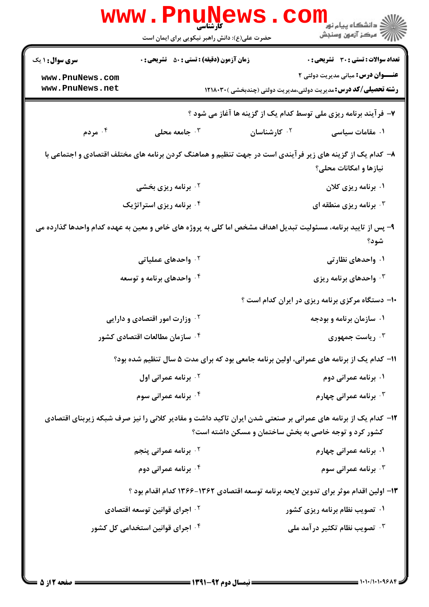| <b>تعداد سوالات : تستی : 30 ٪ تشریحی : 0</b>                                                                                                                           | <b>زمان آزمون (دقیقه) : تستی : 50 ٪ تشریحی : 0</b> | <b>سری سوال :</b> ۱ یک             |
|------------------------------------------------------------------------------------------------------------------------------------------------------------------------|----------------------------------------------------|------------------------------------|
| <b>عنـــوان درس:</b> مبانی مدیریت دولتی ۲<br><b>رشته تحصیلی/کد درس:</b> مدیریت دولتی،مدیریت دولتی (چندبخشی )۲۱۸۰۳۰                                                     |                                                    | www.PnuNews.com<br>www.PnuNews.net |
| ۷- فرآیند برنامه ریزی ملی توسط کدام یک از گزینه ها آغاز می شود ؟                                                                                                       |                                                    |                                    |
| ۰ <sup>۲</sup> کارشناسان<br>۰۱ مقامات سیاسی                                                                                                                            | جامعه محلی $\cdot$ ۳                               | ۰۴ مردم                            |
| ۸– کدام یک از گزینه های زیر فرآیندی است در جهت تنظیم و هماهنگ کردن برنامه های مختلف اقتصادی و اجتماعی با<br>نیازها و امکانات محلی؟                                     |                                                    |                                    |
| ۰۱ برنامه ریزی کلان                                                                                                                                                    | <b>7. برنامه ریزی بخشی</b>                         |                                    |
| ۰۳ برنامه ریزی منطقه ای $\cdot$ ۳                                                                                                                                      | ۰ <sup>۴</sup> برنامه ریزی استراتژیک               |                                    |
| ۹- پس از تایید برنامه، مسئولیت تبدیل اهداف مشخص اما کلی به پروژه های خاص و معین به عهده کدام واحدها گذارده می<br>شود؟                                                  |                                                    |                                    |
| ۰۱ واحدهای نظارتی                                                                                                                                                      | ۰ <sup>۲</sup> واحدهای عملیاتی                     |                                    |
| ۰ <sup>۳</sup> واحدهای برنامه ریزی                                                                                                                                     | ۰۴ واحدهای برنامه و توسعه                          |                                    |
| ۱۰– دستگاه مرکزی برنامه ریزی در ایران کدام است ؟                                                                                                                       |                                                    |                                    |
| ۰۱ سازمان برنامه و بودجه                                                                                                                                               | <sup>۲ .</sup> وزارت امور اقتصادی و دارایی         |                                    |
| ریاست جمهوری $\cdot^{\mathsf{\tau}}$                                                                                                                                   | ۰ <sup>۴</sup> سازمان مطالعات اقتصادی کشور         |                                    |
| ۱۱– کدام یک از برنامه های عمرانی، اولین برنامه جامعی بود که برای مدت ۵ سال تنظیم شده بود؟                                                                              |                                                    |                                    |
| ۰۱ برنامه عمرانی دوم                                                                                                                                                   | ۰ <sup>۲</sup> برنامه عمرانی اول                   |                                    |
| ۰ <sup>۳</sup> برنامه عمرانی چهارم                                                                                                                                     | ۰۴ برنامه عمرانی سوم                               |                                    |
| ۱۲– کدام یک از برنامه های عمرانی بر صنعتی شدن ایران تاکید داشت و مقادیر کلانی را نیز صرف شبکه زیربنای اقتصادی<br>کشور کرد و توجه خاصی به بخش ساختمان و مسکن داشته است؟ |                                                    |                                    |
| ۰۱ برنامه عمرانی چهارم                                                                                                                                                 | <b>7 . برنامه عمرانی پنجم</b>                      |                                    |
| <b>۰۳ برنامه عمرانی سوم</b>                                                                                                                                            | ۰۴ برنامه عمرانی دوم                               |                                    |
| ۱۳- اولین اقدام موثر برای تدوین لایحه برنامه توسعه اقتصادی ۱۳۶۲-۱۳۶۶ کدام اقدام بود ؟                                                                                  |                                                    |                                    |
| ۰۱ تصویب نظام برنامه ریزی کشور                                                                                                                                         | ۰ <sup>۲</sup> اجرای قوانین توسعه اقتصادی          |                                    |
| شمویب نظام تکثیر در آمد ملی $\cdot$ ۳                                                                                                                                  | ۰ <sup>۴</sup> اجرای قوانین استخدامی کل کشور       |                                    |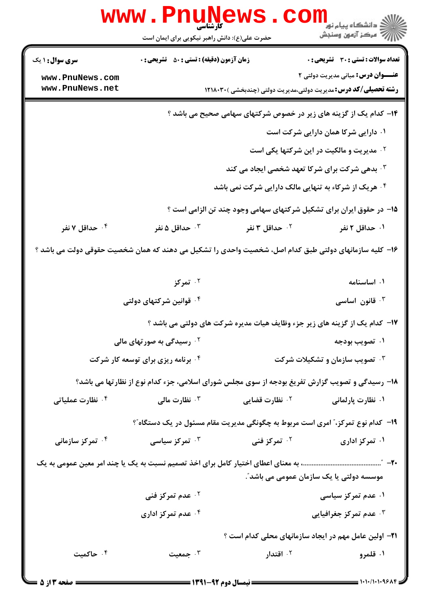|                                                                                                        | WWW.Pnungt<br>حضرت علی(ع): دانش راهبر نیکویی برای ایمان است                                     |                            | ڪ دانشڪاه پيا <sub>م</sub> نور<br>ر <i>7</i> مرڪز آزمون وسنڊش         |
|--------------------------------------------------------------------------------------------------------|-------------------------------------------------------------------------------------------------|----------------------------|-----------------------------------------------------------------------|
| <b>سری سوال :</b> ۱ یک                                                                                 | <b>زمان آزمون (دقیقه) : تستی : 50 ٪ تشریحی : 0</b>                                              |                            | تعداد سوالات : تستي : 30 - تشريحي : 0                                 |
| www.PnuNews.com                                                                                        |                                                                                                 |                            | <b>عنـــوان درس:</b> مبانی مدیریت دولتی ۲                             |
| www.PnuNews.net                                                                                        |                                                                                                 |                            | <b>رشته تحصیلی/کد درس:</b> مدیریت دولتی،مدیریت دولتی (چندبخشی )۲۱۸۰۳۰ |
| ۱۴- کدام یک از گزینه های زیر در خصوص شرکتهای سهامی صحیح می باشد ؟                                      |                                                                                                 |                            |                                                                       |
|                                                                                                        |                                                                                                 |                            | ۰۱ دارایی شرکا همان دارایی شرکت است                                   |
|                                                                                                        | <b>گ مدیریت و مالکیت در این شرکتها یکی است</b>                                                  |                            |                                                                       |
|                                                                                                        | بدهی شرکت برای شرکا تعهد شخصی ایجاد می کند $\cdot$                                              |                            |                                                                       |
|                                                                                                        |                                                                                                 |                            | ۰ <sup>۴</sup> هریک از شرکاء به تنهایی مالک دارایی شرکت نمی باشد      |
|                                                                                                        |                                                                                                 |                            | ۱۵– در حقوق ایران برای تشکیل شرکتهای سهامی وجود چند تن الزامی است ؟   |
| ۰۴ حداقل ۷ نفر                                                                                         | حداقل ۵ نفر $\cdot$ "                                                                           | ۰ <sup>۲</sup> حداقل ۳ نفر | ۰۱ حداقل ۲ نفر                                                        |
| ۱۶– کلیه سازمانهای دولتی طبق کدام اصل، شخصیت واحدی را تشکیل می دهند که همان شخصیت حقوقی دولت می باشد ؟ |                                                                                                 |                            |                                                                       |
|                                                                                                        | ۰ <sup>۲</sup> تمرکز                                                                            |                            | ۰۱ اساسنامه                                                           |
|                                                                                                        | ۰ <sup>۴</sup> قوانین شرکتهای دولتی                                                             |                            | قانون اساسی $\cdot$                                                   |
|                                                                                                        | ۱۷– کدام یک از گزینه های زیر جزء وظایف هیات مدیره شرکت های دولتی می باشد ؟                      |                            |                                                                       |
|                                                                                                        | <sup>۲</sup> ۰ رسیدگی به صورتهای مالی                                                           |                            | ۰۱ تصویب بودجه                                                        |
|                                                                                                        | <b>۴ . برنامه ریزی برای توسعه کار شرکت</b>                                                      |                            | <b>۰۳ تصویب سازمان و تشکیلات شرکت</b>                                 |
|                                                                                                        | ۱۸- رسیدگی و تصویب گزارش تفریغ بودجه از سوی مجلس شورای اسلامی، جزء کدام نوع از نظارتها می باشد؟ |                            |                                                                       |
| ۰۴ نظارت عملیاتی                                                                                       | <b>4 نظارت مالی ب</b>                                                                           | <sup>۲</sup> ۰ نظارت قضایی | ۰۱ نظارت پارلمانی                                                     |
|                                                                                                        | ۱۹- کدام نوع تمرکز،" امری است مربوط به چگونگی مدیریت مقام مسئول در یک دستگاه"؟                  |                            |                                                                       |
| ۰۴ تمرکز سازمانی                                                                                       | ۰ <sup>۳</sup> تمرکز سیاسی                                                                      | ۰ <sup>۲</sup> تمرکز فنی   | ۰۱ تمرکز اداری                                                        |
|                                                                                                        |                                                                                                 |                            |                                                                       |
|                                                                                                        |                                                                                                 |                            | موسسه دولتی یا یک سازمان عمومی می باشد ؒ.                             |
|                                                                                                        | ۰۲ عدم تمرکز فنی                                                                                |                            | ۰۱ عدم تمرکز سیاسی                                                    |
|                                                                                                        | ۰۴ عدم تمرکز اداری                                                                              |                            | ۰ <sup>۳</sup> عدم تمرکز جغرافیایی                                    |
|                                                                                                        |                                                                                                 |                            | <b>۲۱</b> - اولین عامل مهم در ایجاد سازمانهای محلی کدام است ؟         |
| ۰۴ حاکمیت                                                                                              | جمعیت $\cdot^{\mathsf{v}}$                                                                      | ۰ <sup>۲</sup> اقتدار      | ۰۱ قلمرو                                                              |
|                                                                                                        |                                                                                                 |                            |                                                                       |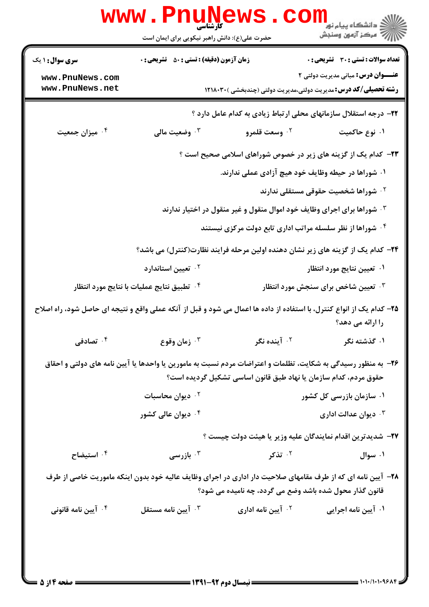|                                                                                                                                                                                   | www.PnuNews<br>حضرت علی(ع): دانش راهبر نیکویی برای ایمان است |                                                           | اري دانشگاه پيام نور<br>ا <mark>ر</mark> ≫ مرکز آزمون وسنجش                                                                 |
|-----------------------------------------------------------------------------------------------------------------------------------------------------------------------------------|--------------------------------------------------------------|-----------------------------------------------------------|-----------------------------------------------------------------------------------------------------------------------------|
|                                                                                                                                                                                   |                                                              |                                                           |                                                                                                                             |
| <b>سری سوال : ۱ یک</b>                                                                                                                                                            | <b>زمان آزمون (دقیقه) : تستی : 50 ٪ تشریحی : 0</b>           |                                                           | <b>تعداد سوالات : تستی : 30 ٪ تشریحی : 0</b>                                                                                |
| www.PnuNews.com<br>www.PnuNews.net                                                                                                                                                |                                                              |                                                           | <b>عنـــوان درس:</b> مبانی مدیریت دولتی ۲<br><b>رشته تحصیلی/کد درس:</b> مدیریت دولتی،مدیریت دولتی (چندبخشی ) <b>۱۲۱۸۰۳۰</b> |
|                                                                                                                                                                                   |                                                              |                                                           | ۲۲– درجه استقلال سازمانهای محلی ارتباط زیادی به کدام عامل دارد ؟                                                            |
| میزان جمعیت $\cdot$ ۴                                                                                                                                                             | ۰۳ وضعیت مالی                                                | ۰۲ وسعت قلمرو                                             | ۰۱ نوع حاکمیت                                                                                                               |
|                                                                                                                                                                                   |                                                              |                                                           | <b>۲۳</b> – کدام یک از گزینه های زیر در خصوص شوراهای اسلامی صحیح است ؟                                                      |
|                                                                                                                                                                                   |                                                              | ۰۱ شوراها در حیطه وظایف خود هیچ آزادی عملی ندارند.        |                                                                                                                             |
|                                                                                                                                                                                   |                                                              |                                                           | <sup>۲.</sup> شوراها شخصیت حقوقی مستقلی ندارند                                                                              |
| <b>۳ ۰ شوراها برای اجرای وظایف خود اموال منقول و غیر منقول در اختیار ندارند</b>                                                                                                   |                                                              |                                                           |                                                                                                                             |
|                                                                                                                                                                                   |                                                              | ۰۴ شوراها از نظر سلسله مراتب اداری تابع دولت مرکزی نیستند |                                                                                                                             |
| <b>۳۴</b> - کدام یک از گزینه های زیر نشان دهنده اولین مرحله فرایند نظارت(کنترل) می باشد؟                                                                                          |                                                              |                                                           |                                                                                                                             |
|                                                                                                                                                                                   | ۰ <sup>۲</sup> تعیین استاندارد                               |                                                           | ۰۱ تعیین نتایج مورد انتظار                                                                                                  |
|                                                                                                                                                                                   | <sup>۴</sup> . تطبيق نتايج عمليات با نتايج مورد انتظار       |                                                           | ۰۳ تعیین شاخص برای سنجش مورد انتظار                                                                                         |
| ۲۵– کدام یک از انواع کنترل، با استفاده از داده ها اعمال می شود و قبل از آنکه عملی واقع و نتیجه ای حاصل شود، راه اصلاح                                                             |                                                              |                                                           | را ارائه می دهد؟                                                                                                            |
| ۰ <sup>۴</sup> تصادفی                                                                                                                                                             | زمان وقوع $\cdot$ "                                          | ۰ <sup>۲</sup> آینده نگر                                  | ۰۱ گذشته نگر                                                                                                                |
| ۲۶- به منظور رسیدگی به شکایت، تظلمات و اعتراضات مردم نسبت به مامورین یا واحدها یا آیین نامه های دولتی و احقاق<br>حقوق مردم، کدام سازمان یا نهاد طبق قانون اساسی تشکیل گردیده است؟ |                                                              |                                                           |                                                                                                                             |
|                                                                                                                                                                                   | ۰ <sup>۲</sup> دیوان محاسبات                                 |                                                           | ۰۱ سازمان بازرسی کل کشور                                                                                                    |
|                                                                                                                                                                                   | ۰ <sup>۴</sup> دیوان عالی کشور                               |                                                           | ديوان عدالت ادارى $\cdot^{\mathsf{y}}$                                                                                      |
|                                                                                                                                                                                   |                                                              |                                                           | <b>۲۷</b> – شدیدترین اقدام نمایندگان علیه وزیر یا هیئت دولت چیست ؟                                                          |
| ۰۴ استیضاح                                                                                                                                                                        | ۰ <sup>۳</sup> بازرسی                                        | ۰۲ تذکر                                                   | ۰۱ سوال                                                                                                                     |
| ۲۸– آیین نامه ای که از طرف مقامهای صلاحیت دار اداری در اجرای وظایف عالیه خود بدون اینکه ماموریت خاصی از طرف<br>قانون گذار محول شده باشد وضع می گردد، چه نامیده می شود؟            |                                                              |                                                           |                                                                                                                             |
| ۰ <sup>۴</sup> آیین نامه قانونی                                                                                                                                                   | ايين نامه مستقل $\cdot$ "                                    | ۰ <sup>۲</sup> آیین نامه اداری                            | ۰۱ آیین نامه اجرایی                                                                                                         |
|                                                                                                                                                                                   |                                                              |                                                           |                                                                                                                             |